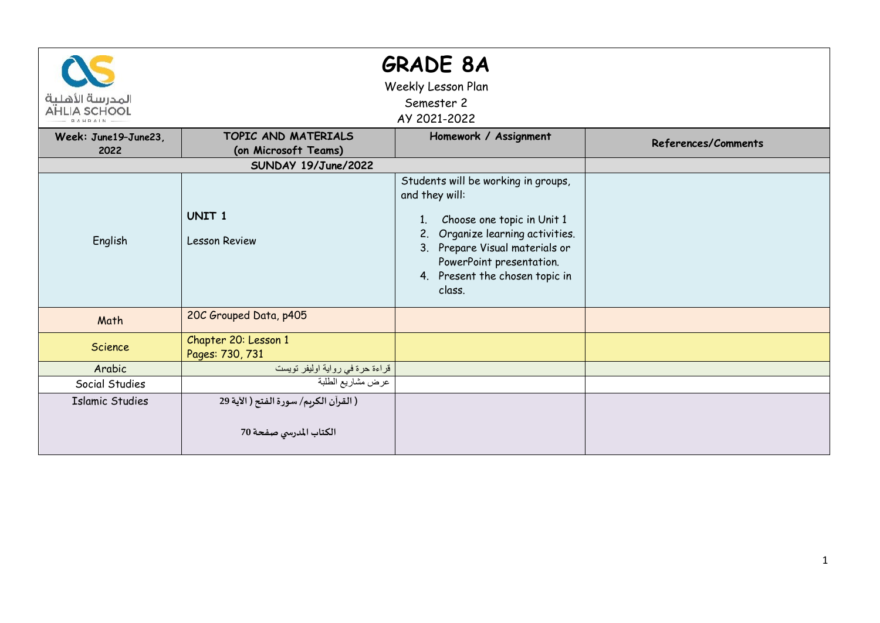| المدرسة الأهلية<br>AHLIA SCHOOL |                                                                  | <b>GRADE 8A</b><br>Weekly Lesson Plan<br>Semester 2<br>AY 2021-2022                                                                                                                                                                        |                     |
|---------------------------------|------------------------------------------------------------------|--------------------------------------------------------------------------------------------------------------------------------------------------------------------------------------------------------------------------------------------|---------------------|
| Week: June19-June23.<br>2022    | TOPIC AND MATERIALS<br>(on Microsoft Teams)                      | Homework / Assignment                                                                                                                                                                                                                      | References/Comments |
|                                 | SUNDAY 19/June/2022                                              |                                                                                                                                                                                                                                            |                     |
| English                         | UNIT <sub>1</sub><br><b>Lesson Review</b>                        | Students will be working in groups,<br>and they will:<br>Choose one topic in Unit 1<br>1.<br>Organize learning activities.<br>2.<br>3. Prepare Visual materials or<br>PowerPoint presentation.<br>4. Present the chosen topic in<br>class. |                     |
| Math                            | 20C Grouped Data, p405                                           |                                                                                                                                                                                                                                            |                     |
| Science                         | Chapter 20: Lesson 1<br>Pages: 730, 731                          |                                                                                                                                                                                                                                            |                     |
| Arabic                          | قراءة حرة في رواية اوليفر تويست                                  |                                                                                                                                                                                                                                            |                     |
| Social Studies                  | عرض مشاريع الطلبة                                                |                                                                                                                                                                                                                                            |                     |
| <b>Islamic Studies</b>          | ( القرآن الكريم/ سورة الفتح ( الآية 29<br>الكتاب المدرسي صفحة 70 |                                                                                                                                                                                                                                            |                     |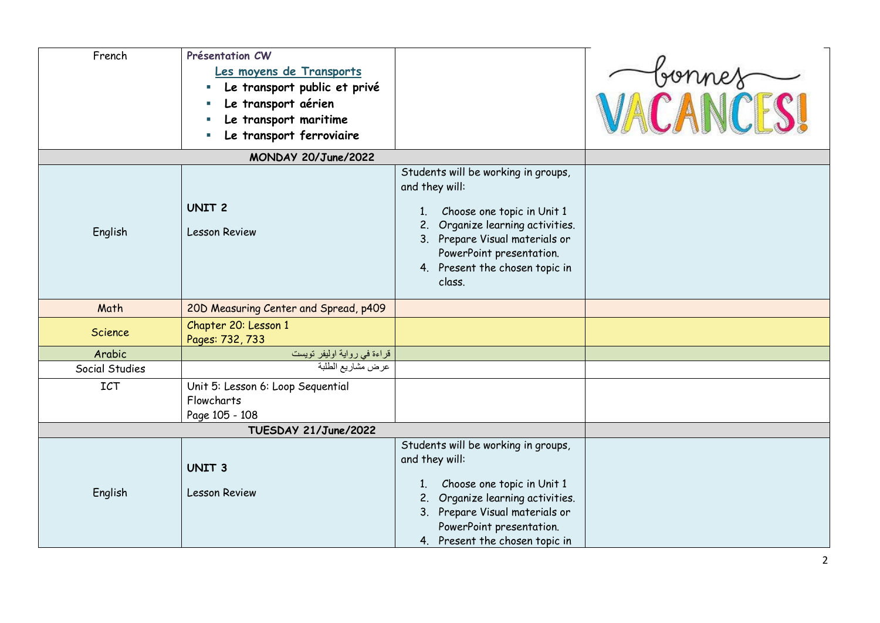| French               | Présentation CW<br>Les moyens de Transports<br>Le transport public et privé<br>Le transport aérien<br>Le transport maritime<br>Le transport ferroviaire |                                                                                                                                                                                                                                                     | VACANCES |
|----------------------|---------------------------------------------------------------------------------------------------------------------------------------------------------|-----------------------------------------------------------------------------------------------------------------------------------------------------------------------------------------------------------------------------------------------------|----------|
|                      | MONDAY 20/June/2022                                                                                                                                     |                                                                                                                                                                                                                                                     |          |
| English              | <b>UNIT 2</b><br><b>Lesson Review</b>                                                                                                                   | Students will be working in groups,<br>and they will:<br>Choose one topic in Unit 1<br>$1_{\cdot}$<br>Organize learning activities.<br>2.<br>3. Prepare Visual materials or<br>PowerPoint presentation.<br>4. Present the chosen topic in<br>class. |          |
| Math                 | 20D Measuring Center and Spread, p409                                                                                                                   |                                                                                                                                                                                                                                                     |          |
| <b>Science</b>       | Chapter 20: Lesson 1<br>Pages: 732, 733                                                                                                                 |                                                                                                                                                                                                                                                     |          |
| Arabic               | قراءة في رواية اوليفر تويست                                                                                                                             |                                                                                                                                                                                                                                                     |          |
| Social Studies       | عرض مشاريع الطلبة                                                                                                                                       |                                                                                                                                                                                                                                                     |          |
| ICT                  | Unit 5: Lesson 6: Loop Sequential<br>Flowcharts<br>Page 105 - 108                                                                                       |                                                                                                                                                                                                                                                     |          |
| TUESDAY 21/June/2022 |                                                                                                                                                         |                                                                                                                                                                                                                                                     |          |
| English              | <b>UNIT 3</b><br><b>Lesson Review</b>                                                                                                                   | Students will be working in groups,<br>and they will:<br>Choose one topic in Unit 1<br>$1_{\cdot}$<br>Organize learning activities.<br>2.<br>3. Prepare Visual materials or<br>PowerPoint presentation.<br>4. Present the chosen topic in           |          |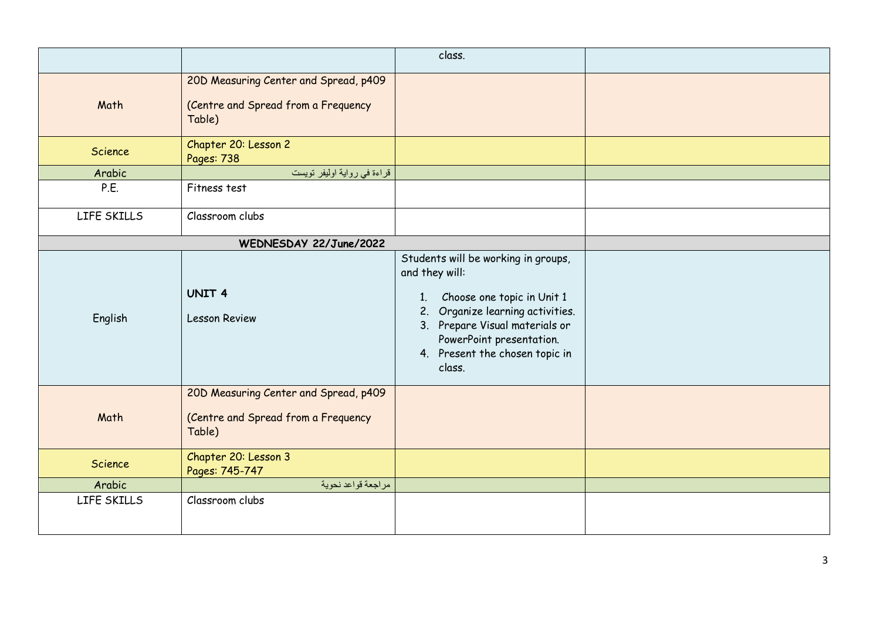|                        |                                                                                        | class.                                                                                                                                                                                                                                  |  |
|------------------------|----------------------------------------------------------------------------------------|-----------------------------------------------------------------------------------------------------------------------------------------------------------------------------------------------------------------------------------------|--|
| Math                   | 20D Measuring Center and Spread, p409<br>(Centre and Spread from a Frequency<br>Table) |                                                                                                                                                                                                                                         |  |
| Science                | Chapter 20: Lesson 2<br>Pages: 738                                                     |                                                                                                                                                                                                                                         |  |
| Arabic                 | قراءة في رواية اوليفر تويست                                                            |                                                                                                                                                                                                                                         |  |
| P.E.                   | Fitness test                                                                           |                                                                                                                                                                                                                                         |  |
| LIFE SKILLS            | Classroom clubs                                                                        |                                                                                                                                                                                                                                         |  |
| WEDNESDAY 22/June/2022 |                                                                                        |                                                                                                                                                                                                                                         |  |
| English                | UNIT <sub>4</sub><br><b>Lesson Review</b>                                              | Students will be working in groups,<br>and they will:<br>Choose one topic in Unit 1<br>1.<br>2. Organize learning activities.<br>3. Prepare Visual materials or<br>PowerPoint presentation.<br>4. Present the chosen topic in<br>class. |  |
| Math                   | 20D Measuring Center and Spread, p409<br>(Centre and Spread from a Frequency<br>Table) |                                                                                                                                                                                                                                         |  |
| Science                | Chapter 20: Lesson 3<br>Pages: 745-747                                                 |                                                                                                                                                                                                                                         |  |
| Arabic                 | مراجعة قواعد نحوية                                                                     |                                                                                                                                                                                                                                         |  |
| LIFE SKILLS            | Classroom clubs                                                                        |                                                                                                                                                                                                                                         |  |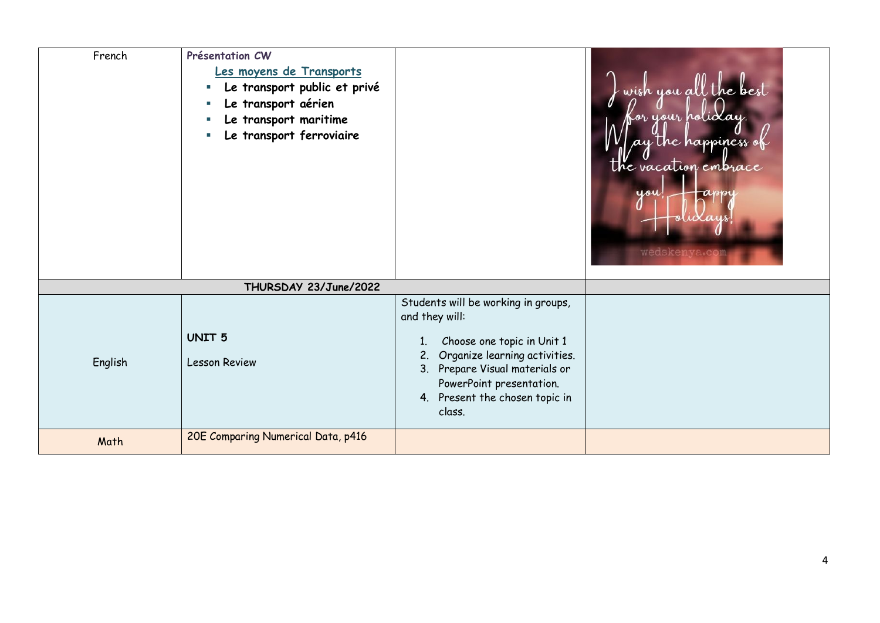| French  | Présentation CW<br>Les moyens de Transports<br>Le transport public et privé<br>Le transport aérien<br>Le transport maritime<br>Le transport ferroviaire |                                                                                                                                                                                                                                               | wish you all the best<br>or your holi $\lambda$ ay.<br>ay the happiness of<br>the vacation embrace<br>you<br>ansp<br>wedskenya.com |
|---------|---------------------------------------------------------------------------------------------------------------------------------------------------------|-----------------------------------------------------------------------------------------------------------------------------------------------------------------------------------------------------------------------------------------------|------------------------------------------------------------------------------------------------------------------------------------|
|         | THURSDAY 23/June/2022                                                                                                                                   |                                                                                                                                                                                                                                               |                                                                                                                                    |
| English | <b>UNIT 5</b><br><b>Lesson Review</b>                                                                                                                   | Students will be working in groups,<br>and they will:<br>Choose one topic in Unit 1<br>1.<br>Organize learning activities.<br>2.<br>Prepare Visual materials or<br>3.<br>PowerPoint presentation.<br>4. Present the chosen topic in<br>class. |                                                                                                                                    |
| Math    | 20E Comparing Numerical Data, p416                                                                                                                      |                                                                                                                                                                                                                                               |                                                                                                                                    |